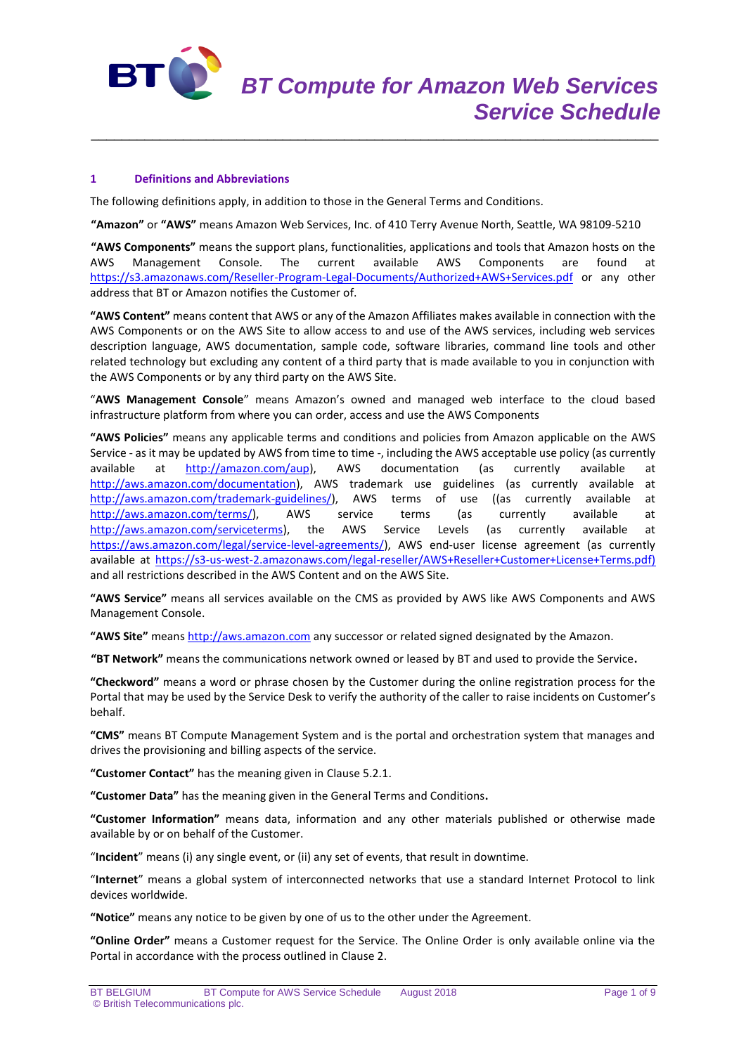

# **1 Definitions and Abbreviations**

The following definitions apply, in addition to those in the General Terms and Conditions.

**"Amazon"** or **"AWS"** means Amazon Web Services, Inc. of 410 Terry Avenue North, Seattle, WA 98109-5210

\_\_\_\_\_\_\_\_\_\_\_\_\_\_\_\_\_\_\_\_\_\_\_\_\_\_\_\_\_\_\_\_\_\_\_\_\_\_\_\_\_\_\_\_\_\_\_\_\_\_\_\_\_\_\_\_\_\_\_\_\_\_\_\_\_\_\_\_\_\_\_\_\_\_

**"AWS Components"** means the support plans, functionalities, applications and tools that Amazon hosts on the AWS Management Console. The current available AWS Components are found at <https://s3.amazonaws.com/Reseller-Program-Legal-Documents/Authorized+AWS+Services.pdf> or any other address that BT or Amazon notifies the Customer of.

**"AWS Content"** means content that AWS or any of the Amazon Affiliates makes available in connection with the AWS Components or on the AWS Site to allow access to and use of the AWS services, including web services description language, AWS documentation, sample code, software libraries, command line tools and other related technology but excluding any content of a third party that is made available to you in conjunction with the AWS Components or by any third party on the AWS Site.

"**AWS Management Console**" means Amazon's owned and managed web interface to the cloud based infrastructure platform from where you can order, access and use the AWS Components

**"AWS Policies"** means any applicable terms and conditions and policies from Amazon applicable on the AWS Service - as it may be updated by AWS from time to time -, including the AWS acceptable use policy (as currently available at **[http://amazon.com/aup\)](http://amazon.com/aup)**, AWS documentation (as currently available at [http://aws.amazon.com/documentation\)](http://aws.amazon.com/documentation), AWS trademark use guidelines (as currently available at [http://aws.amazon.com/trademark-guidelines/\)](http://aws.amazon.com/trademark-guidelines/), AWS terms of use ((as currently available at [http://aws.amazon.com/terms/\)](http://aws.amazon.com/terms/), AWS service terms (as currently available at [http://aws.amazon.com/serviceterms\)](http://aws.amazon.com/serviceterms), the AWS Service Levels (as currently available at [https://aws.amazon.com/legal/service-level-agreements/\)](https://aws.amazon.com/legal/service-level-agreements/), AWS end-user license agreement (as currently available at [https://s3-us-west-2.amazonaws.com/legal-reseller/AWS+Reseller+Customer+License+Terms.pdf\)](https://s3-us-west-2.amazonaws.com/legal-reseller/AWS+Reseller+Customer+License+Terms.pdf) and all restrictions described in the AWS Content and on the AWS Site.

**"AWS Service"** means all services available on the CMS as provided by AWS like AWS Components and AWS Management Console.

**"AWS Site"** means [http://aws.amazon.com](http://aws.amazon.com/) any successor or related signed designated by the Amazon.

**"BT Network"** means the communications network owned or leased by BT and used to provide the Service**.**

**"Checkword"** means a word or phrase chosen by the Customer during the online registration process for the Portal that may be used by the Service Desk to verify the authority of the caller to raise incidents on Customer's behalf.

**"CMS"** means BT Compute Management System and is the portal and orchestration system that manages and drives the provisioning and billing aspects of the service.

**"Customer Contact"** has the meaning given in Clause 5.2.1.

**"Customer Data"** has the meaning given in the General Terms and Conditions**.**

**"Customer Information"** means data, information and any other materials published or otherwise made available by or on behalf of the Customer.

"**Incident**" means (i) any single event, or (ii) any set of events, that result in downtime.

"**Internet**" means a global system of interconnected networks that use a standard Internet Protocol to link devices worldwide.

**"Notice"** means any notice to be given by one of us to the other under the Agreement.

**"Online Order"** means a Customer request for the Service. The Online Order is only available online via the Portal in accordance with the process outlined in Clause 2.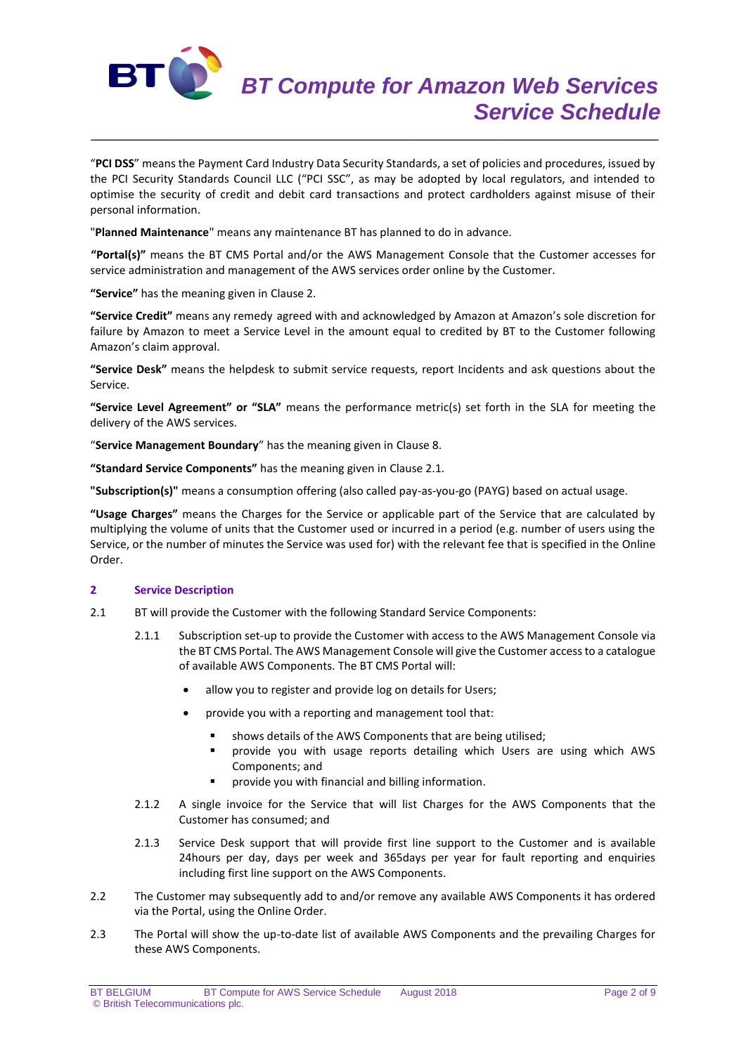

"**PCI DSS**" means the Payment Card Industry Data Security Standards, a set of policies and procedures, issued by the PCI Security Standards Council LLC ("PCI SSC", as may be adopted by local regulators, and intended to optimise the security of credit and debit card transactions and protect cardholders against misuse of their personal information.

\_\_\_\_\_\_\_\_\_\_\_\_\_\_\_\_\_\_\_\_\_\_\_\_\_\_\_\_\_\_\_\_\_\_\_\_\_\_\_\_\_\_\_\_\_\_\_\_\_\_\_\_\_\_\_\_\_\_\_\_\_\_\_\_\_\_\_\_\_\_\_\_\_\_

"**Planned Maintenance**" means any maintenance BT has planned to do in advance.

**"Portal(s)"** means the BT CMS Portal and/or the AWS Management Console that the Customer accesses for service administration and management of the AWS services order online by the Customer.

**"Service"** has the meaning given in Clause 2.

**"Service Credit"** means any remedy agreed with and acknowledged by Amazon at Amazon's sole discretion for failure by Amazon to meet a Service Level in the amount equal to credited by BT to the Customer following Amazon's claim approval.

**"Service Desk"** means the helpdesk to submit service requests, report Incidents and ask questions about the Service.

**"Service Level Agreement" or "SLA"** means the performance metric(s) set forth in the SLA for meeting the delivery of the AWS services.

"**Service Management Boundary**" has the meaning given in Clause 8.

**"Standard Service Components"** has the meaning given in Clause 2.1.

**"Subscription(s)"** means a consumption offering (also called pay-as-you-go (PAYG) based on actual usage.

**"Usage Charges"** means the Charges for the Service or applicable part of the Service that are calculated by multiplying the volume of units that the Customer used or incurred in a period (e.g. number of users using the Service, or the number of minutes the Service was used for) with the relevant fee that is specified in the Online Order.

# **2 Service Description**

- 2.1 BT will provide the Customer with the following Standard Service Components:
	- 2.1.1 Subscription set-up to provide the Customer with access to the AWS Management Console via the BT CMS Portal. The AWS Management Console will give the Customer access to a catalogue of available AWS Components. The BT CMS Portal will:
		- allow you to register and provide log on details for Users;
		- provide you with a reporting and management tool that:
			- shows details of the AWS Components that are being utilised;
			- provide you with usage reports detailing which Users are using which AWS Components; and
			- provide you with financial and billing information.
	- 2.1.2 A single invoice for the Service that will list Charges for the AWS Components that the Customer has consumed; and
	- 2.1.3 Service Desk support that will provide first line support to the Customer and is available 24hours per day, days per week and 365days per year for fault reporting and enquiries including first line support on the AWS Components.
- 2.2 The Customer may subsequently add to and/or remove any available AWS Components it has ordered via the Portal, using the Online Order.
- 2.3 The Portal will show the up-to-date list of available AWS Components and the prevailing Charges for these AWS Components.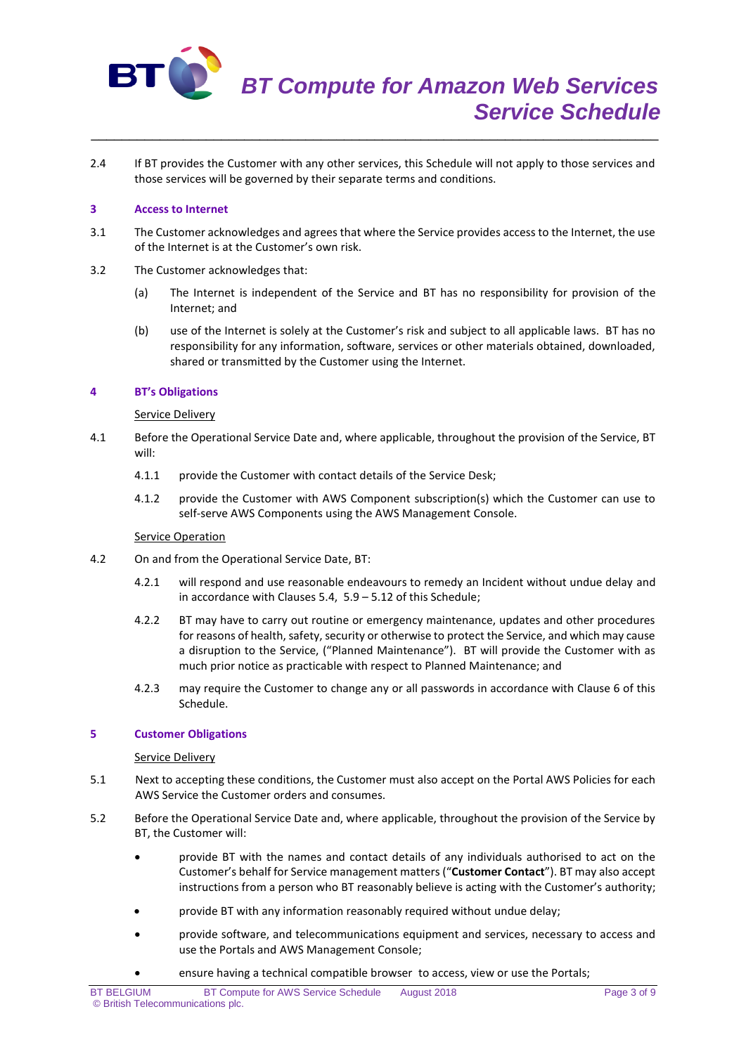

2.4 If BT provides the Customer with any other services, this Schedule will not apply to those services and those services will be governed by their separate terms and conditions.

\_\_\_\_\_\_\_\_\_\_\_\_\_\_\_\_\_\_\_\_\_\_\_\_\_\_\_\_\_\_\_\_\_\_\_\_\_\_\_\_\_\_\_\_\_\_\_\_\_\_\_\_\_\_\_\_\_\_\_\_\_\_\_\_\_\_\_\_\_\_\_\_\_\_

#### **3 Access to Internet**

- 3.1 The Customer acknowledges and agrees that where the Service provides access to the Internet, the use of the Internet is at the Customer's own risk.
- 3.2 The Customer acknowledges that:
	- (a) The Internet is independent of the Service and BT has no responsibility for provision of the Internet; and
	- (b) use of the Internet is solely at the Customer's risk and subject to all applicable laws. BT has no responsibility for any information, software, services or other materials obtained, downloaded, shared or transmitted by the Customer using the Internet.

#### **4 BT's Obligations**

#### Service Delivery

- 4.1 Before the Operational Service Date and, where applicable, throughout the provision of the Service, BT will:
	- 4.1.1 provide the Customer with contact details of the Service Desk;
	- 4.1.2 provide the Customer with AWS Component subscription(s) which the Customer can use to self-serve AWS Components using the AWS Management Console.

#### **Service Operation**

- 4.2 On and from the Operational Service Date, BT:
	- 4.2.1 will respond and use reasonable endeavours to remedy an Incident without undue delay and in accordance with Clauses 5.4, 5.9 – 5.12 of this Schedule;
	- 4.2.2 BT may have to carry out routine or emergency maintenance, updates and other procedures for reasons of health, safety, security or otherwise to protect the Service, and which may cause a disruption to the Service, ("Planned Maintenance"). BT will provide the Customer with as much prior notice as practicable with respect to Planned Maintenance; and
	- 4.2.3 may require the Customer to change any or all passwords in accordance with Clause 6 of this Schedule.

#### **5 Customer Obligations**

#### Service Delivery

- 5.1 Next to accepting these conditions, the Customer must also accept on the Portal AWS Policies for each AWS Service the Customer orders and consumes.
- 5.2 Before the Operational Service Date and, where applicable, throughout the provision of the Service by BT, the Customer will:
	- provide BT with the names and contact details of any individuals authorised to act on the Customer's behalf for Service management matters ("**Customer Contact**"). BT may also accept instructions from a person who BT reasonably believe is acting with the Customer's authority;
	- provide BT with any information reasonably required without undue delay;
	- provide software, and telecommunications equipment and services, necessary to access and use the Portals and AWS Management Console;
		- ensure having a technical compatible browser to access, view or use the Portals;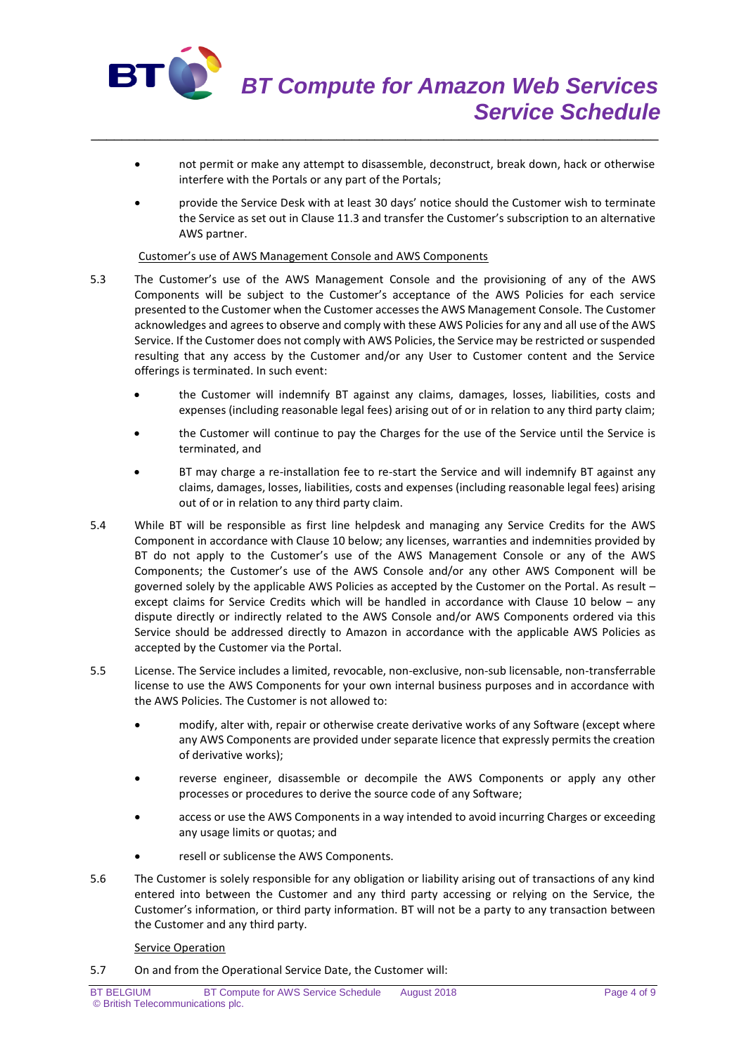

 not permit or make any attempt to disassemble, deconstruct, break down, hack or otherwise interfere with the Portals or any part of the Portals;

\_\_\_\_\_\_\_\_\_\_\_\_\_\_\_\_\_\_\_\_\_\_\_\_\_\_\_\_\_\_\_\_\_\_\_\_\_\_\_\_\_\_\_\_\_\_\_\_\_\_\_\_\_\_\_\_\_\_\_\_\_\_\_\_\_\_\_\_\_\_\_\_\_\_

 provide the Service Desk with at least 30 days' notice should the Customer wish to terminate the Service as set out in Clause 11.3 and transfer the Customer's subscription to an alternative AWS partner.

#### Customer's use of AWS Management Console and AWS Components

- 5.3 The Customer's use of the AWS Management Console and the provisioning of any of the AWS Components will be subject to the Customer's acceptance of the AWS Policies for each service presented to the Customer when the Customer accesses the AWS Management Console. The Customer acknowledges and agrees to observe and comply with these AWS Policies for any and all use of the AWS Service. If the Customer does not comply with AWS Policies, the Service may be restricted or suspended resulting that any access by the Customer and/or any User to Customer content and the Service offerings is terminated. In such event:
	- the Customer will indemnify BT against any claims, damages, losses, liabilities, costs and expenses (including reasonable legal fees) arising out of or in relation to any third party claim;
	- the Customer will continue to pay the Charges for the use of the Service until the Service is terminated, and
	- BT may charge a re-installation fee to re-start the Service and will indemnify BT against any claims, damages, losses, liabilities, costs and expenses (including reasonable legal fees) arising out of or in relation to any third party claim.
- 5.4 While BT will be responsible as first line helpdesk and managing any Service Credits for the AWS Component in accordance with Clause 10 below; any licenses, warranties and indemnities provided by BT do not apply to the Customer's use of the AWS Management Console or any of the AWS Components; the Customer's use of the AWS Console and/or any other AWS Component will be governed solely by the applicable AWS Policies as accepted by the Customer on the Portal. As result – except claims for Service Credits which will be handled in accordance with Clause 10 below – any dispute directly or indirectly related to the AWS Console and/or AWS Components ordered via this Service should be addressed directly to Amazon in accordance with the applicable AWS Policies as accepted by the Customer via the Portal.
- 5.5 License. The Service includes a limited, revocable, non-exclusive, non-sub licensable, non-transferrable license to use the AWS Components for your own internal business purposes and in accordance with the AWS Policies. The Customer is not allowed to:
	- modify, alter with, repair or otherwise create derivative works of any Software (except where any AWS Components are provided under separate licence that expressly permits the creation of derivative works);
	- reverse engineer, disassemble or decompile the AWS Components or apply any other processes or procedures to derive the source code of any Software;
	- access or use the AWS Components in a way intended to avoid incurring Charges or exceeding any usage limits or quotas; and
	- resell or sublicense the AWS Components.
- 5.6 The Customer is solely responsible for any obligation or liability arising out of transactions of any kind entered into between the Customer and any third party accessing or relying on the Service, the Customer's information, or third party information. BT will not be a party to any transaction between the Customer and any third party.

### **Service Operation**

5.7 On and from the Operational Service Date, the Customer will: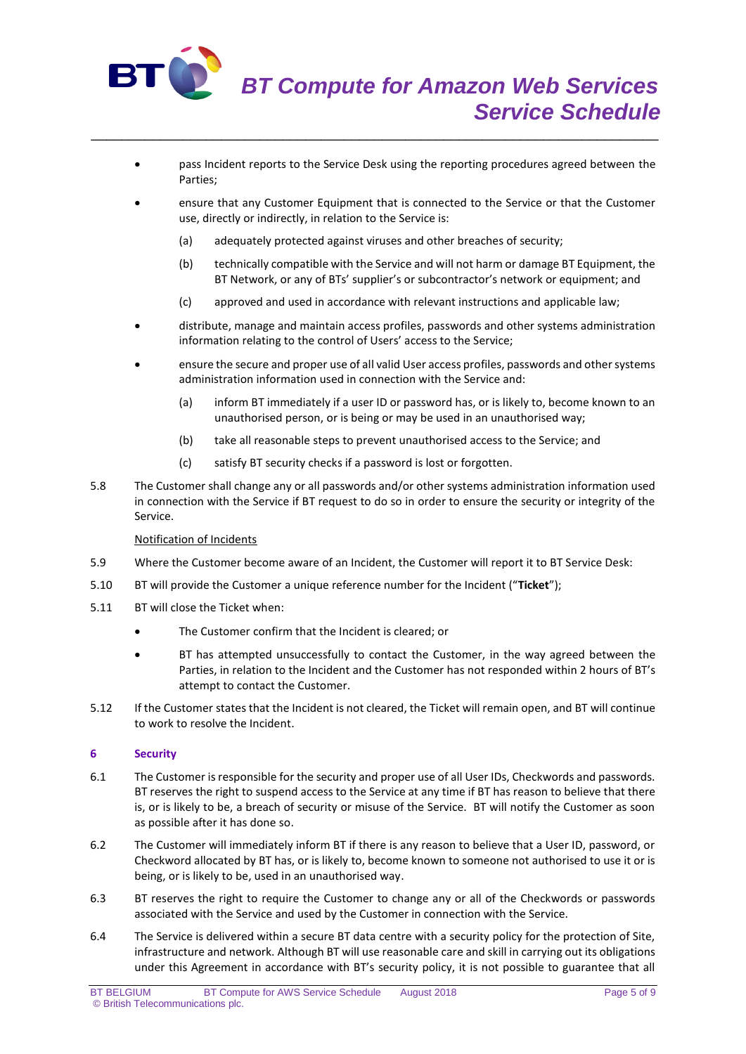

- pass Incident reports to the Service Desk using the reporting procedures agreed between the Parties;
- ensure that any Customer Equipment that is connected to the Service or that the Customer use, directly or indirectly, in relation to the Service is:
	- (a) adequately protected against viruses and other breaches of security;

\_\_\_\_\_\_\_\_\_\_\_\_\_\_\_\_\_\_\_\_\_\_\_\_\_\_\_\_\_\_\_\_\_\_\_\_\_\_\_\_\_\_\_\_\_\_\_\_\_\_\_\_\_\_\_\_\_\_\_\_\_\_\_\_\_\_\_\_\_\_\_\_\_\_

- (b) technically compatible with the Service and will not harm or damage BT Equipment, the BT Network, or any of BTs' supplier's or subcontractor's network or equipment; and
- (c) approved and used in accordance with relevant instructions and applicable law;
- distribute, manage and maintain access profiles, passwords and other systems administration information relating to the control of Users' access to the Service;
- ensure the secure and proper use of all valid User access profiles, passwords and other systems administration information used in connection with the Service and:
	- (a) inform BT immediately if a user ID or password has, or is likely to, become known to an unauthorised person, or is being or may be used in an unauthorised way;
	- (b) take all reasonable steps to prevent unauthorised access to the Service; and
	- (c) satisfy BT security checks if a password is lost or forgotten.
- 5.8 The Customer shall change any or all passwords and/or other systems administration information used in connection with the Service if BT request to do so in order to ensure the security or integrity of the Service.

### Notification of Incidents

- 5.9 Where the Customer become aware of an Incident, the Customer will report it to BT Service Desk:
- 5.10 BT will provide the Customer a unique reference number for the Incident ("**Ticket**");
- 5.11 BT will close the Ticket when:
	- The Customer confirm that the Incident is cleared; or
	- BT has attempted unsuccessfully to contact the Customer, in the way agreed between the Parties, in relation to the Incident and the Customer has not responded within 2 hours of BT's attempt to contact the Customer.
- 5.12 If the Customer states that the Incident is not cleared, the Ticket will remain open, and BT will continue to work to resolve the Incident.

### **6 Security**

- 6.1 The Customer is responsible for the security and proper use of all User IDs, Checkwords and passwords. BT reserves the right to suspend access to the Service at any time if BT has reason to believe that there is, or is likely to be, a breach of security or misuse of the Service. BT will notify the Customer as soon as possible after it has done so.
- 6.2 The Customer will immediately inform BT if there is any reason to believe that a User ID, password, or Checkword allocated by BT has, or is likely to, become known to someone not authorised to use it or is being, or is likely to be, used in an unauthorised way.
- 6.3 BT reserves the right to require the Customer to change any or all of the Checkwords or passwords associated with the Service and used by the Customer in connection with the Service.
- 6.4 The Service is delivered within a secure BT data centre with a security policy for the protection of Site, infrastructure and network. Although BT will use reasonable care and skill in carrying out its obligations under this Agreement in accordance with BT's security policy, it is not possible to guarantee that all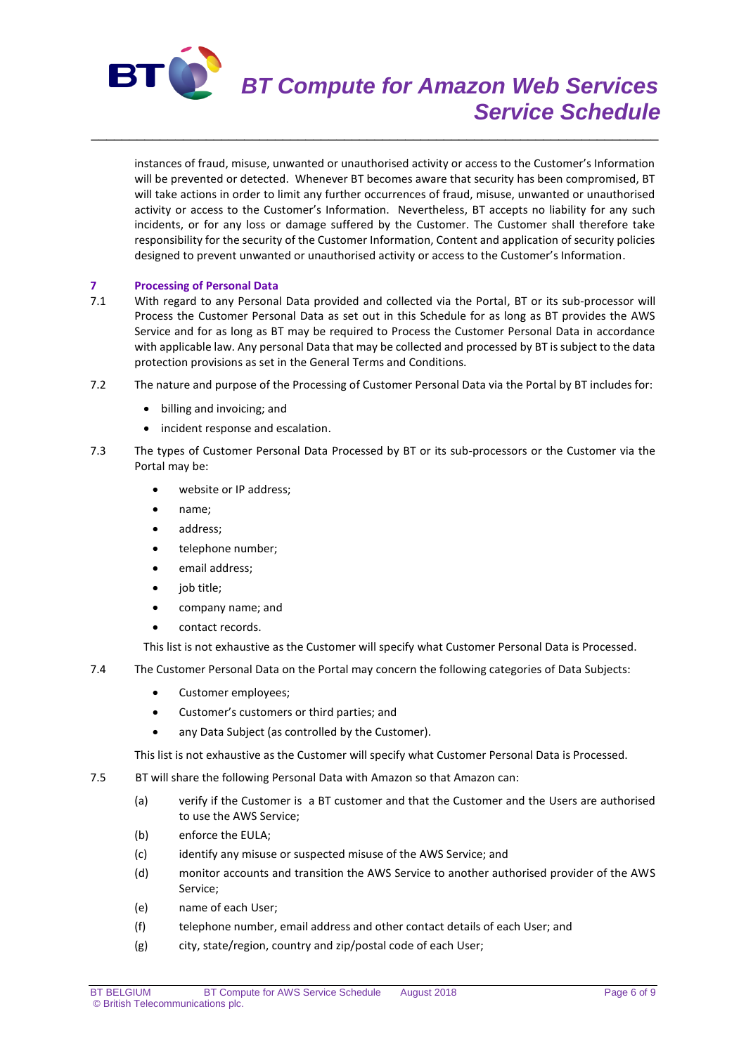

# *BT Compute for Amazon Web Services Service Schedule*

instances of fraud, misuse, unwanted or unauthorised activity or access to the Customer's Information will be prevented or detected. Whenever BT becomes aware that security has been compromised, BT will take actions in order to limit any further occurrences of fraud, misuse, unwanted or unauthorised activity or access to the Customer's Information. Nevertheless, BT accepts no liability for any such incidents, or for any loss or damage suffered by the Customer. The Customer shall therefore take responsibility for the security of the Customer Information, Content and application of security policies designed to prevent unwanted or unauthorised activity or access to the Customer's Information.

\_\_\_\_\_\_\_\_\_\_\_\_\_\_\_\_\_\_\_\_\_\_\_\_\_\_\_\_\_\_\_\_\_\_\_\_\_\_\_\_\_\_\_\_\_\_\_\_\_\_\_\_\_\_\_\_\_\_\_\_\_\_\_\_\_\_\_\_\_\_\_\_\_\_

# **7 Processing of Personal Data**<br>**71** With regard to any Personal

- With regard to any Personal Data provided and collected via the Portal, BT or its sub-processor will Process the Customer Personal Data as set out in this Schedule for as long as BT provides the AWS Service and for as long as BT may be required to Process the Customer Personal Data in accordance with applicable law. Any personal Data that may be collected and processed by BT is subject to the data protection provisions as set in the General Terms and Conditions.
- 7.2 The nature and purpose of the Processing of Customer Personal Data via the Portal by BT includes for:
	- billing and invoicing; and
	- incident response and escalation.
- 7.3 The types of Customer Personal Data Processed by BT or its sub-processors or the Customer via the Portal may be:
	- website or IP address;
	- name;
	- address;
	- telephone number;
	- email address;
	- job title;
	- company name; and
	- contact records.

This list is not exhaustive as the Customer will specify what Customer Personal Data is Processed.

- 7.4 The Customer Personal Data on the Portal may concern the following categories of Data Subjects:
	- Customer employees;
	- Customer's customers or third parties; and
	- any Data Subject (as controlled by the Customer).

This list is not exhaustive as the Customer will specify what Customer Personal Data is Processed.

- 7.5 BT will share the following Personal Data with Amazon so that Amazon can:
	- (a) verify if the Customer is a BT customer and that the Customer and the Users are authorised to use the AWS Service;
	- (b) enforce the EULA;
	- (c) identify any misuse or suspected misuse of the AWS Service; and
	- (d) monitor accounts and transition the AWS Service to another authorised provider of the AWS Service;
	- (e) name of each User;
	- (f) telephone number, email address and other contact details of each User; and
	- (g) city, state/region, country and zip/postal code of each User;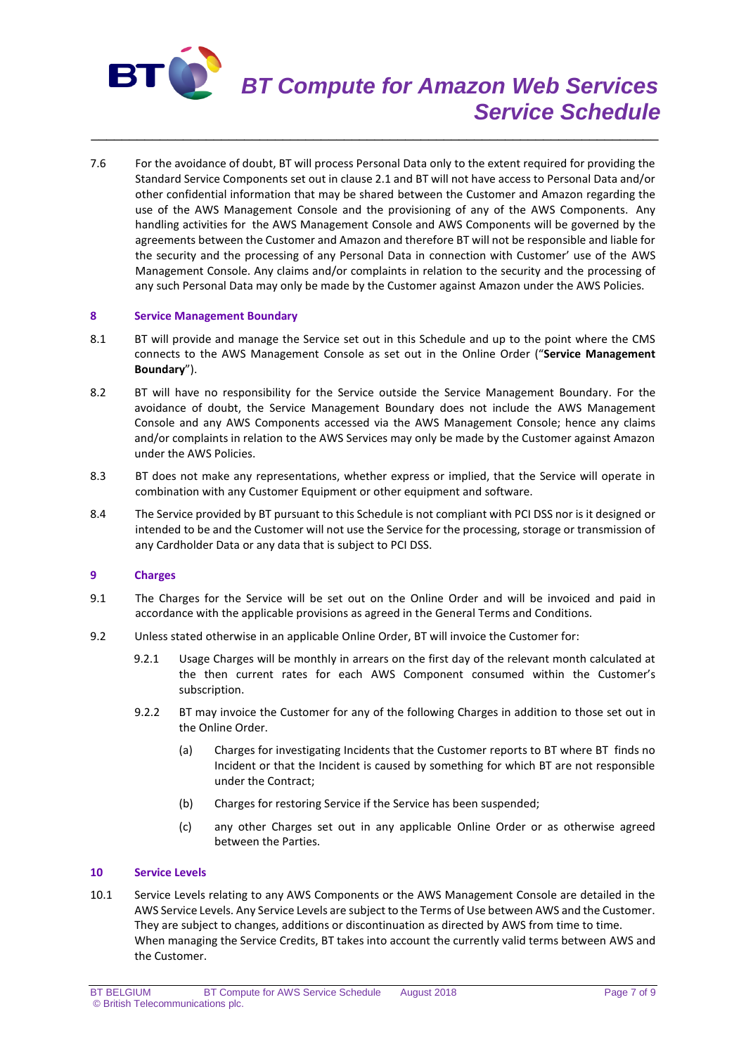

# *BT Compute for Amazon Web Services Service Schedule*

7.6 For the avoidance of doubt, BT will process Personal Data only to the extent required for providing the Standard Service Components set out in clause 2.1 and BT will not have access to Personal Data and/or other confidential information that may be shared between the Customer and Amazon regarding the use of the AWS Management Console and the provisioning of any of the AWS Components. Any handling activities for the AWS Management Console and AWS Components will be governed by the agreements between the Customer and Amazon and therefore BT will not be responsible and liable for the security and the processing of any Personal Data in connection with Customer' use of the AWS Management Console. Any claims and/or complaints in relation to the security and the processing of any such Personal Data may only be made by the Customer against Amazon under the AWS Policies.

\_\_\_\_\_\_\_\_\_\_\_\_\_\_\_\_\_\_\_\_\_\_\_\_\_\_\_\_\_\_\_\_\_\_\_\_\_\_\_\_\_\_\_\_\_\_\_\_\_\_\_\_\_\_\_\_\_\_\_\_\_\_\_\_\_\_\_\_\_\_\_\_\_\_

#### **8 Service Management Boundary**

- 8.1 BT will provide and manage the Service set out in this Schedule and up to the point where the CMS connects to the AWS Management Console as set out in the Online Order ("**Service Management Boundary**").
- 8.2 BT will have no responsibility for the Service outside the Service Management Boundary. For the avoidance of doubt, the Service Management Boundary does not include the AWS Management Console and any AWS Components accessed via the AWS Management Console; hence any claims and/or complaints in relation to the AWS Services may only be made by the Customer against Amazon under the AWS Policies.
- 8.3 BT does not make any representations, whether express or implied, that the Service will operate in combination with any Customer Equipment or other equipment and software.
- 8.4 The Service provided by BT pursuant to this Schedule is not compliant with PCI DSS nor is it designed or intended to be and the Customer will not use the Service for the processing, storage or transmission of any Cardholder Data or any data that is subject to PCI DSS.

#### **9 Charges**

- 9.1 The Charges for the Service will be set out on the Online Order and will be invoiced and paid in accordance with the applicable provisions as agreed in the General Terms and Conditions.
- 9.2 Unless stated otherwise in an applicable Online Order, BT will invoice the Customer for:
	- 9.2.1 Usage Charges will be monthly in arrears on the first day of the relevant month calculated at the then current rates for each AWS Component consumed within the Customer's subscription.
	- 9.2.2 BT may invoice the Customer for any of the following Charges in addition to those set out in the Online Order.
		- (a) Charges for investigating Incidents that the Customer reports to BT where BT finds no Incident or that the Incident is caused by something for which BT are not responsible under the Contract;
		- (b) Charges for restoring Service if the Service has been suspended;
		- (c) any other Charges set out in any applicable Online Order or as otherwise agreed between the Parties.

# **10 Service Levels**

10.1 Service Levels relating to any AWS Components or the AWS Management Console are detailed in the AWS Service Levels. Any Service Levels are subject to the Terms of Use between AWS and the Customer. They are subject to changes, additions or discontinuation as directed by AWS from time to time. When managing the Service Credits, BT takes into account the currently valid terms between AWS and the Customer.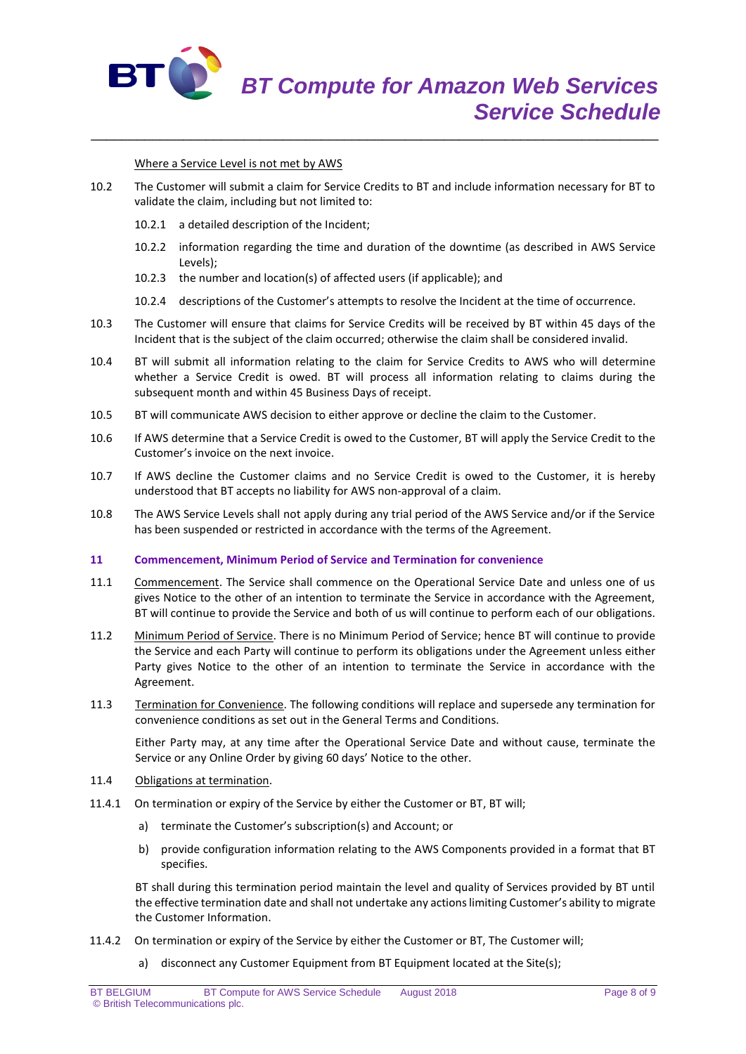

Where a Service Level is not met by AWS

10.2 The Customer will submit a claim for Service Credits to BT and include information necessary for BT to validate the claim, including but not limited to:

\_\_\_\_\_\_\_\_\_\_\_\_\_\_\_\_\_\_\_\_\_\_\_\_\_\_\_\_\_\_\_\_\_\_\_\_\_\_\_\_\_\_\_\_\_\_\_\_\_\_\_\_\_\_\_\_\_\_\_\_\_\_\_\_\_\_\_\_\_\_\_\_\_\_

- 10.2.1 a detailed description of the Incident;
- 10.2.2 information regarding the time and duration of the downtime (as described in AWS Service Levels);
- 10.2.3 the number and location(s) of affected users (if applicable); and
- 10.2.4 descriptions of the Customer's attempts to resolve the Incident at the time of occurrence.
- 10.3 The Customer will ensure that claims for Service Credits will be received by BT within 45 days of the Incident that is the subject of the claim occurred; otherwise the claim shall be considered invalid.
- 10.4 BT will submit all information relating to the claim for Service Credits to AWS who will determine whether a Service Credit is owed. BT will process all information relating to claims during the subsequent month and within 45 Business Days of receipt.
- 10.5 BT will communicate AWS decision to either approve or decline the claim to the Customer.
- 10.6 If AWS determine that a Service Credit is owed to the Customer, BT will apply the Service Credit to the Customer's invoice on the next invoice.
- 10.7 If AWS decline the Customer claims and no Service Credit is owed to the Customer, it is hereby understood that BT accepts no liability for AWS non-approval of a claim.
- 10.8 The AWS Service Levels shall not apply during any trial period of the AWS Service and/or if the Service has been suspended or restricted in accordance with the terms of the Agreement.

#### **11 Commencement, Minimum Period of Service and Termination for convenience**

- 11.1 Commencement. The Service shall commence on the Operational Service Date and unless one of us gives Notice to the other of an intention to terminate the Service in accordance with the Agreement, BT will continue to provide the Service and both of us will continue to perform each of our obligations.
- 11.2 Minimum Period of Service. There is no Minimum Period of Service; hence BT will continue to provide the Service and each Party will continue to perform its obligations under the Agreement unless either Party gives Notice to the other of an intention to terminate the Service in accordance with the Agreement.
- 11.3 Termination for Convenience. The following conditions will replace and supersede any termination for convenience conditions as set out in the General Terms and Conditions.

Either Party may, at any time after the Operational Service Date and without cause, terminate the Service or any Online Order by giving 60 days' Notice to the other.

- 11.4 Obligations at termination.
- 11.4.1 On termination or expiry of the Service by either the Customer or BT, BT will;
	- a) terminate the Customer's subscription(s) and Account; or
	- b) provide configuration information relating to the AWS Components provided in a format that BT specifies.

BT shall during this termination period maintain the level and quality of Services provided by BT until the effective termination date and shall not undertake any actions limiting Customer's ability to migrate the Customer Information.

- 11.4.2 On termination or expiry of the Service by either the Customer or BT, The Customer will;
	- a) disconnect any Customer Equipment from BT Equipment located at the Site(s);